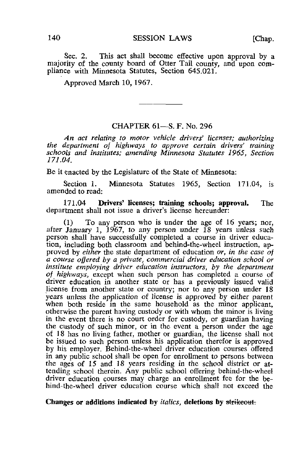Sec. 2. This act shall become effective upon approval by a majority of the county board of Otter Tail county, and upon compliance with Minnesota Statutes, Section 645.021,

Approved March 10, 1967.

## CHAPTER 61—S. F. No. 296

An act relating to motor vehicle drivers' licenses; authorizing the department of highways to approve certain drivers' training schools and institutes; amending Minnesota Statutes 1965, Section 171.04.

Be it enacted by the Legislature of the State of Minnesota:

Section 1. Minnesota Statutes 1965, Section 171.04, is amended to read:

171.04 Drivers' licenses; training schools; approval. The department shall not issue a driver's license hereunder:

(1) To any person who is under the age of 16 years; nor, after January 1, 1967, to any person under 18 years unless such person shall have successfully completed a course in driver education, including both classroom and behind-the-wheel instruction, approved by *either* the state department of education *or*, in the case of a course offered by a private, commercial driver education school or institute employing driver education instructors, by the department of highways, except when such person has completed a course of driver education in another state or has a previously issued valid license from another state or country; nor to any person under 18 years unless the application of license is approved by either parent when both reside in the same household as the minor applicant, otherwise the parent having custody or with whom the minor is living in the event there is no court order for custody, or guardian having the custody of such minor, or in the event a person under the age of 18 has no living father, mother or guardian, the license shall not be issued to such person unless his application therefor is approved by his employer. Behind-the-wheel driver education courses offered in any public school shall be open for enrollment to persons between the ages of 15 and 18 years residing in the school district or attending school therein. Any public school offering behind-the-wheel driver education courses may charge an enrollment fee for the behind-the-wheel driver education course which shall not exceed the

## Changes or additions indicated by *italics*, deletions by strikeout.